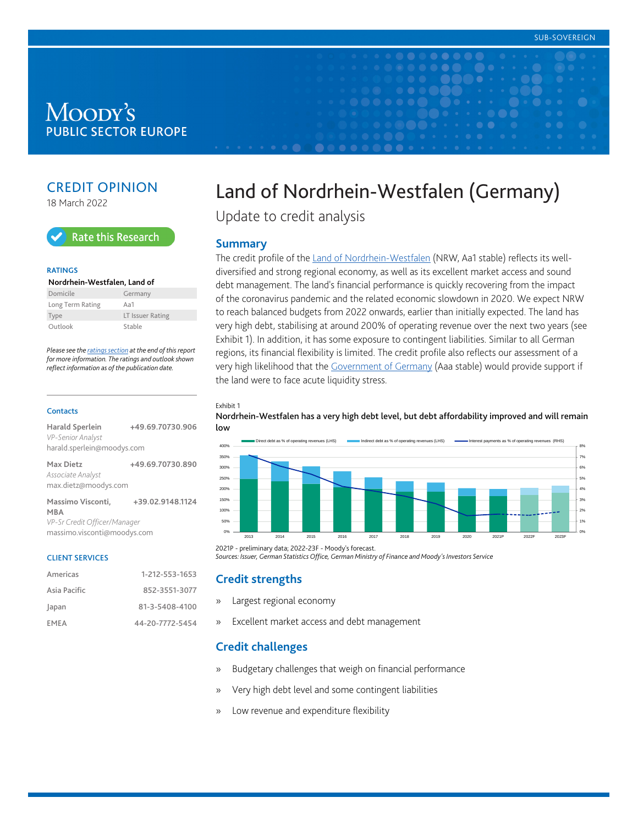# Moody's **PUBLIC SECTOR EUROPE**

# CREDIT OPINION

18 March 2022



#### **RATINGS**

| Nordrhein-Westfalen, Land of |  |
|------------------------------|--|
|                              |  |

| Domicile         | Germany          |
|------------------|------------------|
| Long Term Rating | Aa1              |
| Type             | LT Issuer Rating |
| Outlook          | Stable           |

*Please see the [ratings section](#page-7-0) at the end of this report for more information. The ratings and outlook shown reflect information as of the publication date.*

#### **Contacts**

| Harald Sperlein            | +49.69.70730.906 |  |  |  |
|----------------------------|------------------|--|--|--|
| VP-Senior Analyst          |                  |  |  |  |
| harald.sperlein@moodys.com |                  |  |  |  |
| <b>Max Dietz</b>           | +49.69.70730.890 |  |  |  |
| Associate Analyst          |                  |  |  |  |

max.dietz@moodys.com **Massimo Visconti, MBA +39.02.9148.1124**

*VP-Sr Credit Officer/Manager* massimo.visconti@moodys.com

#### CLIENT SERVICES

| Americas     | 1-212-553-1653  |
|--------------|-----------------|
| Asia Pacific | 852-3551-3077   |
| Japan        | 81-3-5408-4100  |
| FMFA         | 44-20-7772-5454 |

# Land of Nordrhein-Westfalen (Germany)

Update to credit analysis

## **Summary**

The credit profile of the [Land of Nordrhein-Westfalen](https://www.moodys.com/credit-ratings/Nordrhein-Westfalen-Land-of-credit-rating-600017411) (NRW, Aa1 stable) reflects its welldiversified and strong regional economy, as well as its excellent market access and sound debt management. The land's financial performance is quickly recovering from the impact of the coronavirus pandemic and the related economic slowdown in 2020. We expect NRW to reach balanced budgets from 2022 onwards, earlier than initially expected. The land has very high debt, stabilising at around 200% of operating revenue over the next two years (see Exhibit 1). In addition, it has some exposure to contingent liabilities. Similar to all German regions, its financial flexibility is limited. The credit profile also reflects our assessment of a very high likelihood that the [Government of Germany](https://www.moodys.com/credit-ratings/Germany-Government-of-credit-rating-333700) (Aaa stable) would provide support if the land were to face acute liquidity stress.

Exhibit 1

Nordrhein-Westfalen has a very high debt level, but debt affordability improved and will remain low



2021P - preliminary data; 2022-23F - Moody's forecast. *Sources: Issuer, German Statistics Office, German Ministry of Finance and Moody's Investors Service*

# **Credit strengths**

- » Largest regional economy
- » Excellent market access and debt management

# **Credit challenges**

- » Budgetary challenges that weigh on financial performance
- » Very high debt level and some contingent liabilities
- » Low revenue and expenditure flexibility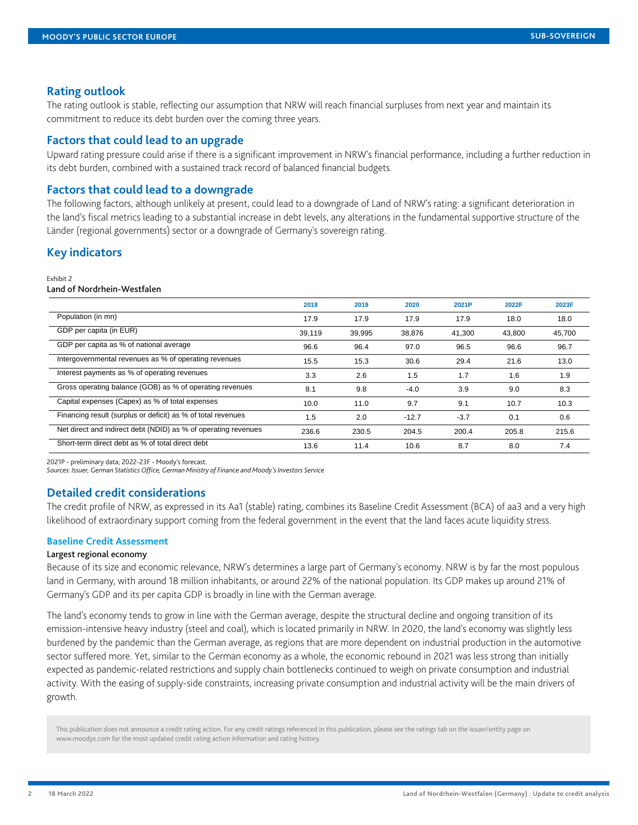## **Rating outlook**

The rating outlook is stable, reflecting our assumption that NRW will reach financial surpluses from next year and maintain its commitment to reduce its debt burden over the coming three years.

## **Factors that could lead to an upgrade**

Upward rating pressure could arise if there is a significant improvement in NRW's financial performance, including a further reduction in its debt burden, combined with a sustained track record of balanced financial budgets.

## **Factors that could lead to a downgrade**

The following factors, although unlikely at present, could lead to a downgrade of Land of NRW's rating: a significant deterioration in the land's fiscal metrics leading to a substantial increase in debt levels, any alterations in the fundamental supportive structure of the Länder (regional governments) sector or a downgrade of Germany's sovereign rating.

# **Key indicators**

Exhibit 2

#### Land of Nordrhein-Westfalen

|                                                                | 2018   | 2019   | 2020    | 2021P  | 2022F  | 2023F  |
|----------------------------------------------------------------|--------|--------|---------|--------|--------|--------|
| Population (in mn)                                             | 17.9   | 17.9   | 17.9    | 17.9   | 18.0   | 18.0   |
| GDP per capita (in EUR)                                        | 39,119 | 39,995 | 38,876  | 41,300 | 43,800 | 45,700 |
| GDP per capita as % of national average                        | 96.6   | 96.4   | 97.0    | 96.5   | 96.6   | 96.7   |
| Intergovernmental revenues as % of operating revenues          | 15.5   | 15.3   | 30.6    | 29.4   | 21.6   | 13.0   |
| Interest payments as % of operating revenues                   | 3.3    | 2.6    | 1.5     | 1.7    | 1.6    | 1.9    |
| Gross operating balance (GOB) as % of operating revenues       | 8.1    | 9.8    | $-4.0$  | 3.9    | 9.0    | 8.3    |
| Capital expenses (Capex) as % of total expenses                | 10.0   | 11.0   | 9.7     | 9.1    | 10.7   | 10.3   |
| Financing result (surplus or deficit) as % of total revenues   | 1.5    | 2.0    | $-12.7$ | $-3.7$ | 0.1    | 0.6    |
| Net direct and indirect debt (NDID) as % of operating revenues | 236.6  | 230.5  | 204.5   | 200.4  | 205.8  | 215.6  |
| Short-term direct debt as % of total direct debt               | 13.6   | 11.4   | 10.6    | 8.7    | 8.0    | 7.4    |

2021P - preliminary data; 2022-23F - Moody's forecast.

*Sources: Issuer, German Statistics Office, German Ministry of Finance and Moody's Investors Service*

## **Detailed credit considerations**

The credit profile of NRW, as expressed in its Aa1 (stable) rating, combines its Baseline Credit Assessment (BCA) of aa3 and a very high likelihood of extraordinary support coming from the federal government in the event that the land faces acute liquidity stress.

## **Baseline Credit Assessment**

#### Largest regional economy

Because of its size and economic relevance, NRW's determines a large part of Germany's economy. NRW is by far the most populous land in Germany, with around 18 million inhabitants, or around 22% of the national population. Its GDP makes up around 21% of Germany's GDP and its per capita GDP is broadly in line with the German average.

The land's economy tends to grow in line with the German average, despite the structural decline and ongoing transition of its emission-intensive heavy industry (steel and coal), which is located primarily in NRW. In 2020, the land's economy was slightly less burdened by the pandemic than the German average, as regions that are more dependent on industrial production in the automotive sector suffered more. Yet, similar to the German economy as a whole, the economic rebound in 2021 was less strong than initially expected as pandemic-related restrictions and supply chain bottlenecks continued to weigh on private consumption and industrial activity. With the easing of supply-side constraints, increasing private consumption and industrial activity will be the main drivers of growth.

This publication does not announce a credit rating action. For any credit ratings referenced in this publication, please see the ratings tab on the issuer/entity page on www.moodys.com for the most updated credit rating action information and rating history.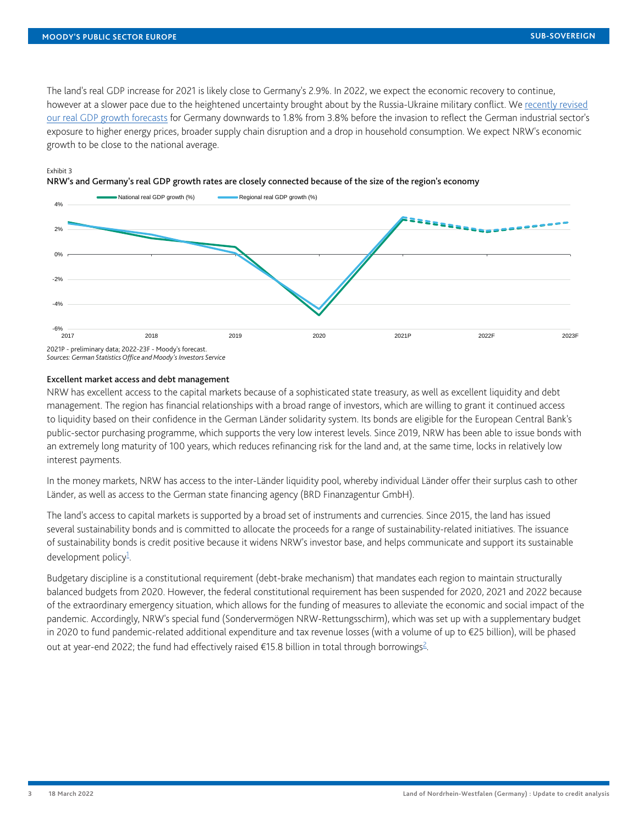The land's real GDP increase for 2021 is likely close to Germany's 2.9%. In 2022, we expect the economic recovery to continue, however at a slower pace due to the heightened uncertainty brought about by the Russia-Ukraine military conflict. We [recently revised](https://www.moodys.com/researchdocumentcontentpage.aspx?docid=PBC_1321920) [our real GDP growth forecasts](https://www.moodys.com/researchdocumentcontentpage.aspx?docid=PBC_1321920) for Germany downwards to 1.8% from 3.8% before the invasion to reflect the German industrial sector's exposure to higher energy prices, broader supply chain disruption and a drop in household consumption. We expect NRW's economic growth to be close to the national average.







*Sources: German Statistics Office and Moody's Investors Service*

#### Excellent market access and debt management

NRW has excellent access to the capital markets because of a sophisticated state treasury, as well as excellent liquidity and debt management. The region has financial relationships with a broad range of investors, which are willing to grant it continued access to liquidity based on their confidence in the German Länder solidarity system. Its bonds are eligible for the European Central Bank's public-sector purchasing programme, which supports the very low interest levels. Since 2019, NRW has been able to issue bonds with an extremely long maturity of 100 years, which reduces refinancing risk for the land and, at the same time, locks in relatively low interest payments.

In the money markets, NRW has access to the inter-Länder liquidity pool, whereby individual Länder offer their surplus cash to other Länder, as well as access to the German state financing agency (BRD Finanzagentur GmbH).

The land's access to capital markets is supported by a broad set of instruments and currencies. Since 2015, the land has issued several sustainability bonds and is committed to allocate the proceeds for a range of sustainability-related initiatives. The issuance of sustainability bonds is credit positive because it widens NRW's investor base, and helps communicate and support its sustainable development policy<sup>[1](#page-7-1)</sup>.

<span id="page-2-1"></span><span id="page-2-0"></span>Budgetary discipline is a constitutional requirement (debt-brake mechanism) that mandates each region to maintain structurally balanced budgets from 2020. However, the federal constitutional requirement has been suspended for 2020, 2021 and 2022 because of the extraordinary emergency situation, which allows for the funding of measures to alleviate the economic and social impact of the pandemic. Accordingly, NRW's special fund (Sondervermögen NRW-Rettungsschirm), which was set up with a supplementary budget in 2020 to fund pandemic-related additional expenditure and tax revenue losses (with a volume of up to €25 billion), will be phased out at year-end [2](#page-8-0)022; the fund had effectively raised €15.8 billion in total through borrowings<sup>2</sup>.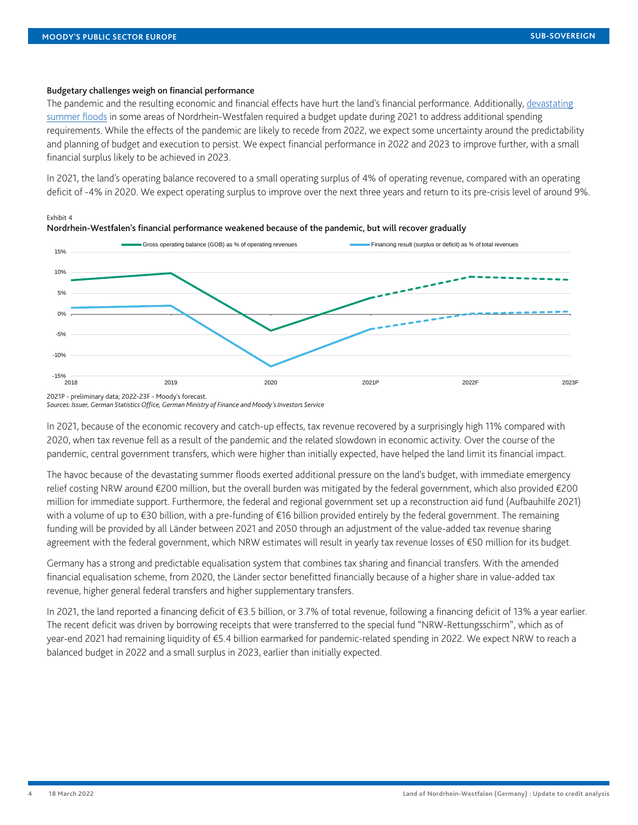Exhibit 4

## Budgetary challenges weigh on financial performance

The pandemic and the resulting economic and financial effects have hurt the land's financial performance. Additionally, [devastating](https://www.moodys.com/researchdocumentcontentpage.aspx?docid=PBC_1296895) [summer floods](https://www.moodys.com/researchdocumentcontentpage.aspx?docid=PBC_1296895) in some areas of Nordrhein-Westfalen required a budget update during 2021 to address additional spending requirements. While the effects of the pandemic are likely to recede from 2022, we expect some uncertainty around the predictability and planning of budget and execution to persist. We expect financial performance in 2022 and 2023 to improve further, with a small financial surplus likely to be achieved in 2023.

In 2021, the land's operating balance recovered to a small operating surplus of 4% of operating revenue, compared with an operating deficit of -4% in 2020. We expect operating surplus to improve over the next three years and return to its pre-crisis level of around 9%.





In 2021, because of the economic recovery and catch-up effects, tax revenue recovered by a surprisingly high 11% compared with 2020, when tax revenue fell as a result of the pandemic and the related slowdown in economic activity. Over the course of the pandemic, central government transfers, which were higher than initially expected, have helped the land limit its financial impact.

The havoc because of the devastating summer floods exerted additional pressure on the land's budget, with immediate emergency relief costing NRW around €200 million, but the overall burden was mitigated by the federal government, which also provided €200 million for immediate support. Furthermore, the federal and regional government set up a reconstruction aid fund (Aufbauhilfe 2021) with a volume of up to €30 billion, with a pre-funding of €16 billion provided entirely by the federal government. The remaining funding will be provided by all Länder between 2021 and 2050 through an adjustment of the value-added tax revenue sharing agreement with the federal government, which NRW estimates will result in yearly tax revenue losses of €50 million for its budget.

Germany has a strong and predictable equalisation system that combines tax sharing and financial transfers. With the amended financial equalisation scheme, from 2020, the Länder sector benefitted financially because of a higher share in value-added tax revenue, higher general federal transfers and higher supplementary transfers.

In 2021, the land reported a financing deficit of €3.5 billion, or 3.7% of total revenue, following a financing deficit of 13% a year earlier. The recent deficit was driven by borrowing receipts that were transferred to the special fund "NRW-Rettungsschirm", which as of year-end 2021 had remaining liquidity of €5.4 billion earmarked for pandemic-related spending in 2022. We expect NRW to reach a balanced budget in 2022 and a small surplus in 2023, earlier than initially expected.

<sup>2021</sup>P - preliminary data; 2022-23F - Moody's forecast.

*Sources: Issuer, German Statistics Office, German Ministry of Finance and Moody's Investors Service*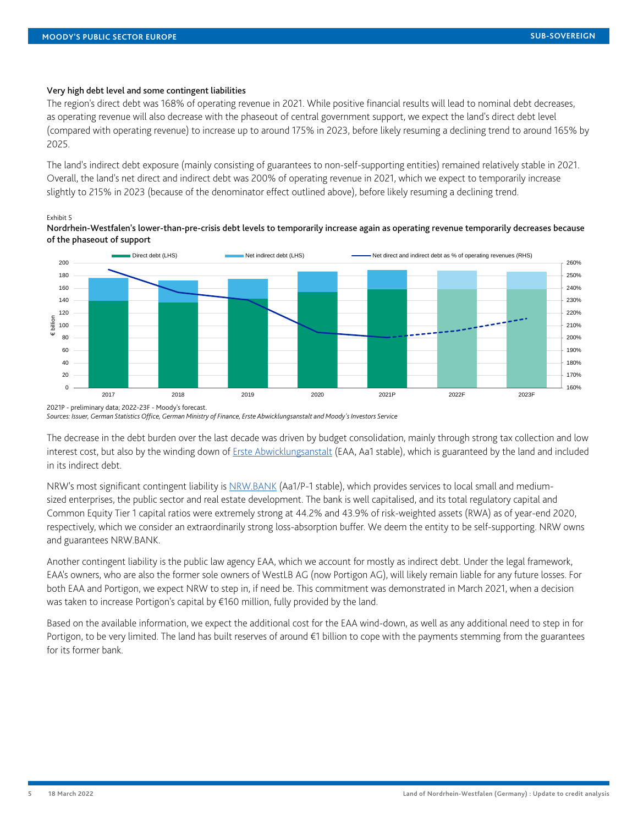#### Very high debt level and some contingent liabilities

The region's direct debt was 168% of operating revenue in 2021. While positive financial results will lead to nominal debt decreases, as operating revenue will also decrease with the phaseout of central government support, we expect the land's direct debt level (compared with operating revenue) to increase up to around 175% in 2023, before likely resuming a declining trend to around 165% by 2025.

The land's indirect debt exposure (mainly consisting of guarantees to non-self-supporting entities) remained relatively stable in 2021. Overall, the land's net direct and indirect debt was 200% of operating revenue in 2021, which we expect to temporarily increase slightly to 215% in 2023 (because of the denominator effect outlined above), before likely resuming a declining trend.

#### Exhibit 5

Nordrhein-Westfalen's lower-than-pre-crisis debt levels to temporarily increase again as operating revenue temporarily decreases because of the phaseout of support



*Sources: Issuer, German Statistics Office, German Ministry of Finance, Erste Abwicklungsanstalt and Moody's Investors Service*

The decrease in the debt burden over the last decade was driven by budget consolidation, mainly through strong tax collection and low interest cost, but also by the winding down of [Erste Abwicklungsanstalt](https://www.moodys.com/credit-ratings/Erste-Abwicklungsanstalt-credit-rating-821932207) (EAA, Aa1 stable), which is guaranteed by the land and included in its indirect debt.

NRW's most significant contingent liability is [NRW.BANK](https://www.moodys.com/credit-ratings/NRWBANK-credit-rating-806619532) (Aa1/P-1 stable), which provides services to local small and mediumsized enterprises, the public sector and real estate development. The bank is well capitalised, and its total regulatory capital and Common Equity Tier 1 capital ratios were extremely strong at 44.2% and 43.9% of risk-weighted assets (RWA) as of year-end 2020, respectively, which we consider an extraordinarily strong loss-absorption buffer. We deem the entity to be self-supporting. NRW owns and guarantees NRW.BANK.

Another contingent liability is the public law agency EAA, which we account for mostly as indirect debt. Under the legal framework, EAA's owners, who are also the former sole owners of WestLB AG (now Portigon AG), will likely remain liable for any future losses. For both EAA and Portigon, we expect NRW to step in, if need be. This commitment was demonstrated in March 2021, when a decision was taken to increase Portigon's capital by €160 million, fully provided by the land.

Based on the available information, we expect the additional cost for the EAA wind-down, as well as any additional need to step in for Portigon, to be very limited. The land has built reserves of around €1 billion to cope with the payments stemming from the guarantees for its former bank.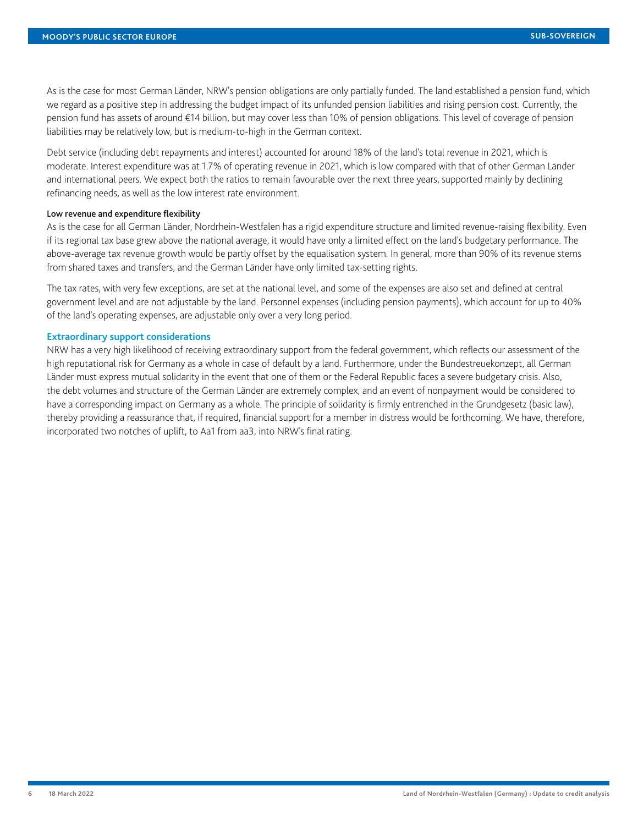As is the case for most German Länder, NRW's pension obligations are only partially funded. The land established a pension fund, which we regard as a positive step in addressing the budget impact of its unfunded pension liabilities and rising pension cost. Currently, the pension fund has assets of around €14 billion, but may cover less than 10% of pension obligations. This level of coverage of pension liabilities may be relatively low, but is medium-to-high in the German context.

Debt service (including debt repayments and interest) accounted for around 18% of the land's total revenue in 2021, which is moderate. Interest expenditure was at 1.7% of operating revenue in 2021, which is low compared with that of other German Länder and international peers. We expect both the ratios to remain favourable over the next three years, supported mainly by declining refinancing needs, as well as the low interest rate environment.

### Low revenue and expenditure flexibility

As is the case for all German Länder, Nordrhein-Westfalen has a rigid expenditure structure and limited revenue-raising flexibility. Even if its regional tax base grew above the national average, it would have only a limited effect on the land's budgetary performance. The above-average tax revenue growth would be partly offset by the equalisation system. In general, more than 90% of its revenue stems from shared taxes and transfers, and the German Länder have only limited tax-setting rights.

The tax rates, with very few exceptions, are set at the national level, and some of the expenses are also set and defined at central government level and are not adjustable by the land. Personnel expenses (including pension payments), which account for up to 40% of the land's operating expenses, are adjustable only over a very long period.

### **Extraordinary support considerations**

NRW has a very high likelihood of receiving extraordinary support from the federal government, which reflects our assessment of the high reputational risk for Germany as a whole in case of default by a land. Furthermore, under the Bundestreuekonzept, all German Länder must express mutual solidarity in the event that one of them or the Federal Republic faces a severe budgetary crisis. Also, the debt volumes and structure of the German Länder are extremely complex, and an event of nonpayment would be considered to have a corresponding impact on Germany as a whole. The principle of solidarity is firmly entrenched in the Grundgesetz (basic law), thereby providing a reassurance that, if required, financial support for a member in distress would be forthcoming. We have, therefore, incorporated two notches of uplift, to Aa1 from aa3, into NRW's final rating.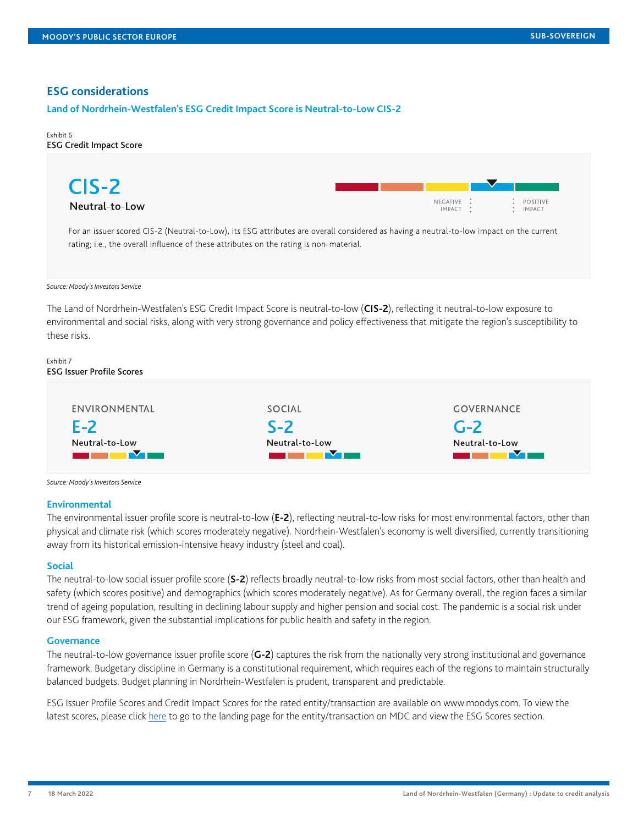## **ESG considerations**

## **Land of Nordrhein-Westfalen's ESG Credit Impact Score is Neutral-to-Low CIS-2**

## Exhibit 6 ESG Credit Impact Score



#### *Source: Moody's Investors Service*

The Land of Nordrhein-Westfalen's ESG Credit Impact Score is neutral-to-low (**CIS-2**), reflecting it neutral-to-low exposure to environmental and social risks, along with very strong governance and policy effectiveness that mitigate the region's susceptibility to these risks.

#### Exhibit 7 ESG Issuer Profile Scores



*Source: Moody's Investors Service*

## **Environmental**

The environmental issuer profile score is neutral-to-low (**E-2**), reflecting neutral-to-low risks for most environmental factors, other than physical and climate risk (which scores moderately negative). Nordrhein-Westfalen's economy is well diversified, currently transitioning away from its historical emission-intensive heavy industry (steel and coal).

## **Social**

The neutral-to-low social issuer profile score (**S-2**) reflects broadly neutral-to-low risks from most social factors, other than health and safety (which scores positive) and demographics (which scores moderately negative). As for Germany overall, the region faces a similar trend of ageing population, resulting in declining labour supply and higher pension and social cost. The pandemic is a social risk under our ESG framework, given the substantial implications for public health and safety in the region.

### **Governance**

The neutral-to-low governance issuer profile score (**G-2**) captures the risk from the nationally very strong institutional and governance framework. Budgetary discipline in Germany is a constitutional requirement, which requires each of the regions to maintain structurally balanced budgets. Budget planning in Nordrhein-Westfalen is prudent, transparent and predictable.

ESG Issuer Profile Scores and Credit Impact Scores for the rated entity/transaction are available on www.moodys.com. To view the latest scores, please click [here](https://www.moodys.com/credit-ratings/org-credit-rating-600017411) to go to the landing page for the entity/transaction on MDC and view the ESG Scores section.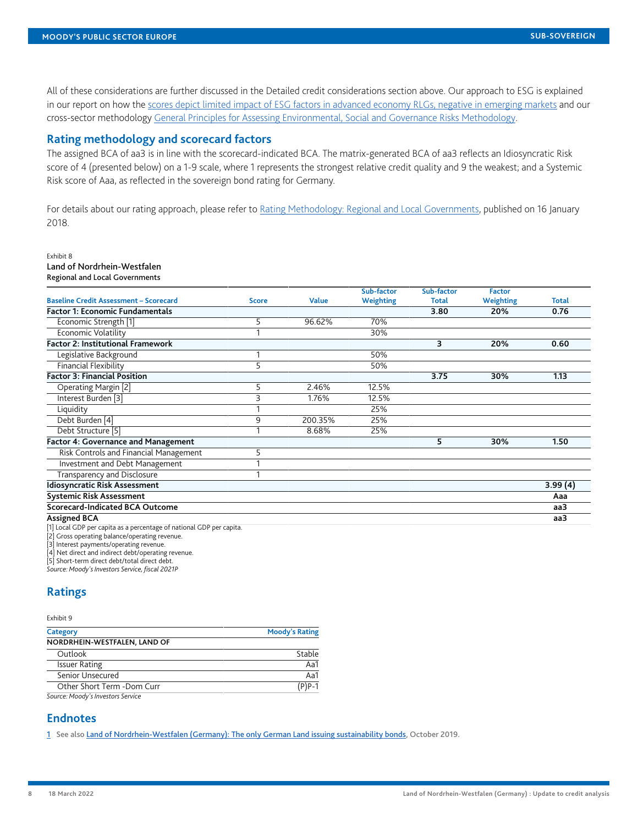All of these considerations are further discussed in the Detailed credit considerations section above. Our approach to ESG is explained in our report on how the [scores depict limited impact of ESG factors in advanced economy RLGs, negative in emerging markets](https://www.moodys.com/researchdocumentcontentpage.aspx?docid=PBC_1305740) and our cross-sector methodology [General Principles for Assessing Environmental, Social and Governance Risks Methodology.](https://www.moodys.com/researchdocumentcontentpage.aspx?docid=PBC_1288235)

# **Rating methodology and scorecard factors**

The assigned BCA of aa3 is in line with the scorecard-indicated BCA. The matrix-generated BCA of aa3 reflects an Idiosyncratic Risk score of 4 (presented below) on a 1-9 scale, where 1 represents the strongest relative credit quality and 9 the weakest; and a Systemic Risk score of Aaa, as reflected in the sovereign bond rating for Germany.

For details about our rating approach, please refer to [Rating Methodology: Regional and Local Governments,](https://www.moodys.com/researchdocumentcontentpage.aspx?docid=PBC_1091595) published on 16 January 2018.

#### Exhibit 8

Land of Nordrhein-Westfalen

Regional and Local Governments

|                                                                                                                        |              |              | Sub-factor | Sub-factor   | <b>Factor</b>    |              |
|------------------------------------------------------------------------------------------------------------------------|--------------|--------------|------------|--------------|------------------|--------------|
| <b>Baseline Credit Assessment - Scorecard</b>                                                                          | <b>Score</b> | <b>Value</b> | Weighting  | <b>Total</b> | <b>Weighting</b> | <b>Total</b> |
| <b>Factor 1: Economic Fundamentals</b>                                                                                 |              |              |            | 3.80         | 20%              | 0.76         |
| Economic Strength [1]                                                                                                  | 5            | 96.62%       | 70%        |              |                  |              |
| <b>Economic Volatility</b>                                                                                             |              |              | 30%        |              |                  |              |
| <b>Factor 2: Institutional Framework</b>                                                                               |              |              |            | 3            | 20%              | 0.60         |
| Legislative Background                                                                                                 |              |              | 50%        |              |                  |              |
| <b>Financial Flexibility</b>                                                                                           | 5            |              | 50%        |              |                  |              |
| <b>Factor 3: Financial Position</b>                                                                                    |              |              |            | 3.75         | 30%              | 1.13         |
| Operating Margin [2]                                                                                                   | 5            | 2.46%        | 12.5%      |              |                  |              |
| Interest Burden [3]                                                                                                    | ς            | 1.76%        | 12.5%      |              |                  |              |
| Liquidity                                                                                                              |              |              | 25%        |              |                  |              |
| Debt Burden [4]                                                                                                        | 9            | 200.35%      | 25%        |              |                  |              |
| Debt Structure [5]                                                                                                     |              | 8.68%        | 25%        |              |                  |              |
| <b>Factor 4: Governance and Management</b>                                                                             |              |              |            | 5            | 30%              | 1.50         |
| Risk Controls and Financial Management                                                                                 | 5            |              |            |              |                  |              |
| Investment and Debt Management                                                                                         |              |              |            |              |                  |              |
| Transparency and Disclosure                                                                                            |              |              |            |              |                  |              |
| <b>Idiosyncratic Risk Assessment</b>                                                                                   |              |              |            |              |                  | 3.99(4)      |
| <b>Systemic Risk Assessment</b>                                                                                        |              |              |            |              |                  | Aaa          |
| Scorecard-Indicated BCA Outcome                                                                                        |              |              |            |              |                  | aa3          |
| <b>Assigned BCA</b>                                                                                                    |              |              |            |              |                  | aa3          |
| [1] Local GDP per capita as a percentage of national GDP per capita.<br>[2] Gross operating balance/operating revenue. |              |              |            |              |                  |              |

[3] Interest payments/operating revenue.

[4] Net direct and indirect debt/operating revenue.

[5] Short-term direct debt/total direct debt.

*Source: Moody's Investors Service, fiscal 2021P*

# <span id="page-7-0"></span>**Ratings**

Exhibit 9

| Category                          | <b>Moody's Rating</b> |
|-----------------------------------|-----------------------|
| NORDRHEIN-WESTFALEN, LAND OF      |                       |
| Outlook                           | Stable                |
| <b>Issuer Rating</b>              | Aa1                   |
| Senior Unsecured                  | Aa1                   |
| Other Short Term - Dom Curr       | $(P)P-1$              |
| Source: Moody's Investors Service |                       |

## **Endnotes**

<span id="page-7-1"></span>[1](#page-2-0) See also [Land of Nordrhein-Westfalen \(Germany\): The only German Land issuing sustainability bonds,](https://www.moodys.com/researchdocumentcontentpage.aspx?docid=PBC_1191501) October 2019.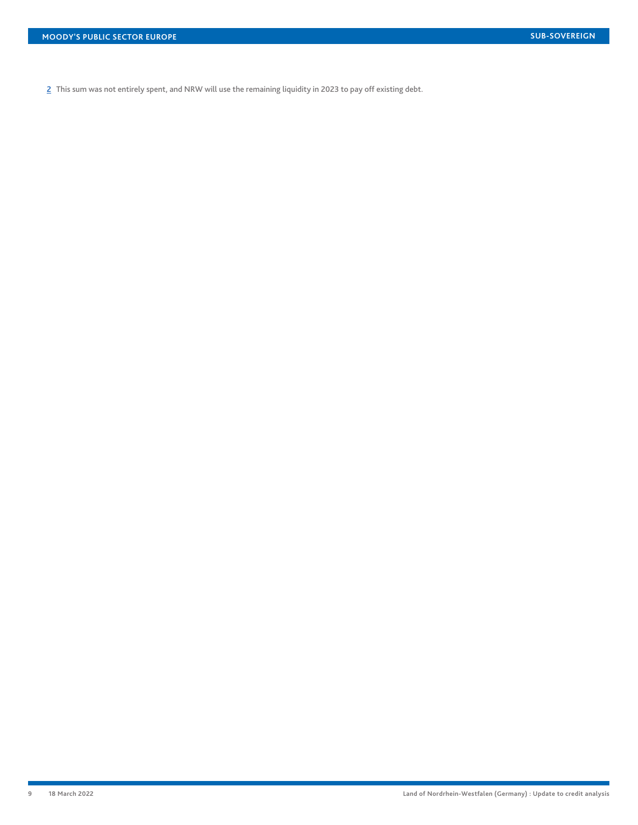<span id="page-8-0"></span>[2](#page-2-1) This sum was not entirely spent, and NRW will use the remaining liquidity in 2023 to pay off existing debt.